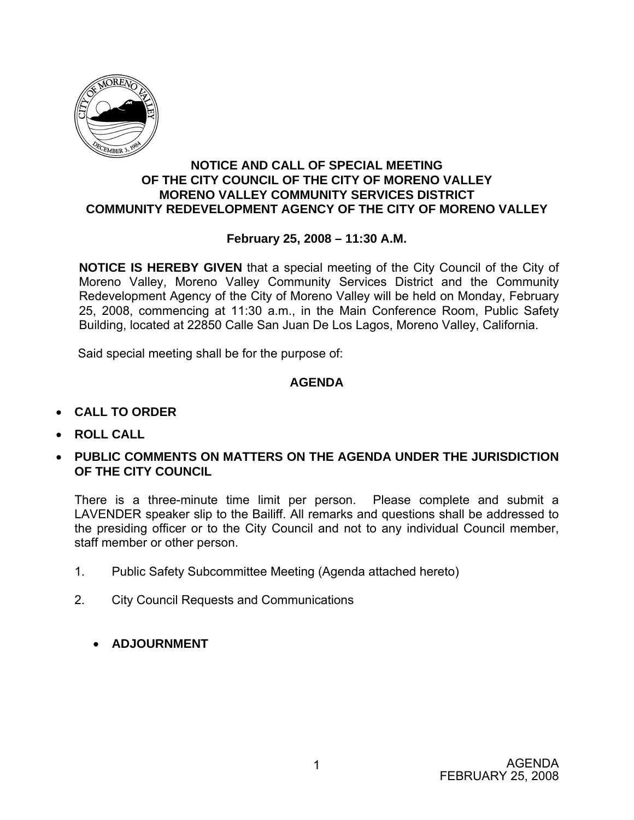

#### **NOTICE AND CALL OF SPECIAL MEETING OF THE CITY COUNCIL OF THE CITY OF MORENO VALLEY MORENO VALLEY COMMUNITY SERVICES DISTRICT COMMUNITY REDEVELOPMENT AGENCY OF THE CITY OF MORENO VALLEY**

#### **February 25, 2008 – 11:30 A.M.**

**NOTICE IS HEREBY GIVEN** that a special meeting of the City Council of the City of Moreno Valley, Moreno Valley Community Services District and the Community Redevelopment Agency of the City of Moreno Valley will be held on Monday, February 25, 2008, commencing at 11:30 a.m., in the Main Conference Room, Public Safety Building, located at 22850 Calle San Juan De Los Lagos, Moreno Valley, California.

Said special meeting shall be for the purpose of:

### **AGENDA**

- **CALL TO ORDER**
- **ROLL CALL**
- **PUBLIC COMMENTS ON MATTERS ON THE AGENDA UNDER THE JURISDICTION OF THE CITY COUNCIL**

There is a three-minute time limit per person. Please complete and submit a LAVENDER speaker slip to the Bailiff. All remarks and questions shall be addressed to the presiding officer or to the City Council and not to any individual Council member, staff member or other person.

- 1. Public Safety Subcommittee Meeting (Agenda attached hereto)
- 2. City Council Requests and Communications
	- **ADJOURNMENT**